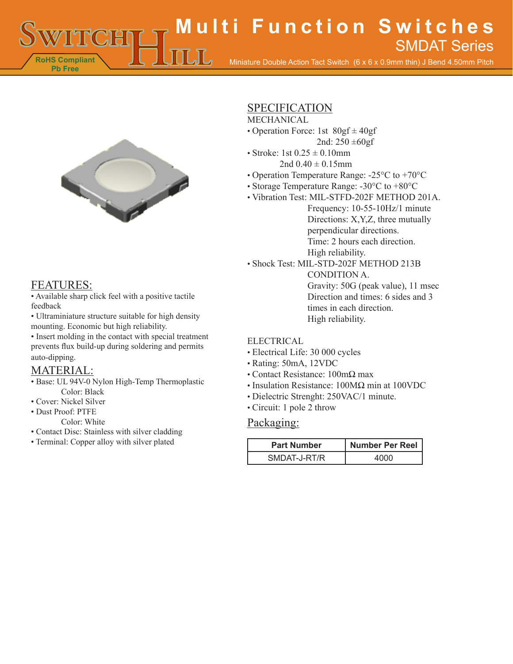**RoHS Compliant Multi Function Switches** Miniature Double Action Tact Switch (6 x 6 x 0.9mm thin) J Bend 4.50mm Pitch SMDAT Series



# FEATURES:

**Pb Free**

• Available sharp click feel with a positive tactile feedback

• Ultraminiature structure suitable for high density mounting. Economic but high reliability.

• Insert molding in the contact with special treatment prevents flux build-up during soldering and permits auto-dipping.

# MATERIAL:

- Base: UL 94V-0 Nylon High-Temp Thermoplastic Color: Black
- Cover: Nickel Silver
- Dust Proof: PTFE
	- Color: White
- Contact Disc: Stainless with silver cladding
- Terminal: Copper alloy with silver plated

## SPECIFICATION

## MECHANICAL

- Operation Force: 1st 80gf ± 40gf 2nd:  $250 \pm 60$ gf
- Stroke: 1st  $0.25 \pm 0.10$ mm
	- 2nd  $0.40 \pm 0.15$ mm
- Operation Temperature Range: -25°C to +70°C
- Storage Temperature Range: -30°C to +80°C
- Vibration Test: MIL-STFD-202F METHOD 201A. Frequency: 10-55-10Hz/1 minute Directions: X,Y,Z, three mutually perpendicular directions. Time: 2 hours each direction. High reliability.
- Shock Test: MIL-STD-202F METHOD 213B

CONDITION A. Gravity: 50G (peak value), 11 msec Direction and times: 6 sides and 3 times in each direction.

High reliability.

#### **ELECTRICAL**

- Electrical Life: 30 000 cycles
- Rating: 50mA, 12VDC
- Contact Resistance: 100mΩ max
- Insulation Resistance: 100MΩ min at 100VDC
- Dielectric Strenght: 250VAC/1 minute.
- Circuit: 1 pole 2 throw

#### Packaging:

| <b>Part Number</b> | Number Per Reel |
|--------------------|-----------------|
| SMDAT-J-RT/R       |                 |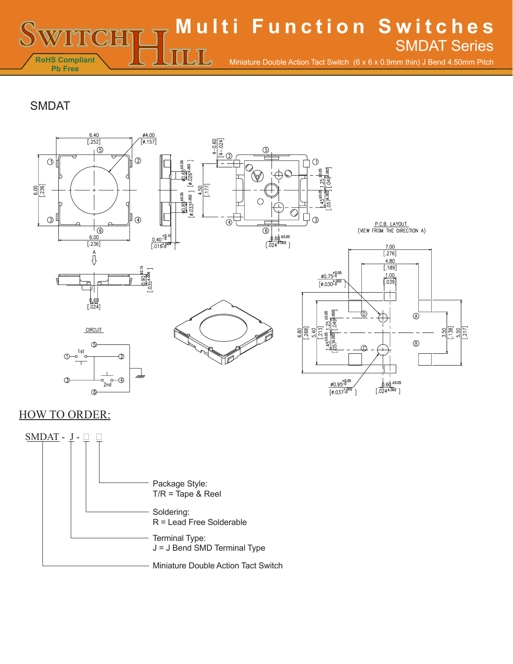**RoHS Compliant Pb Free Multi Function Switches** Miniature Double Action Tact Switch (6 x 6 x 0.9mm thin) J Bend 4.50mm Pitch SMDAT Series

# SMDAT